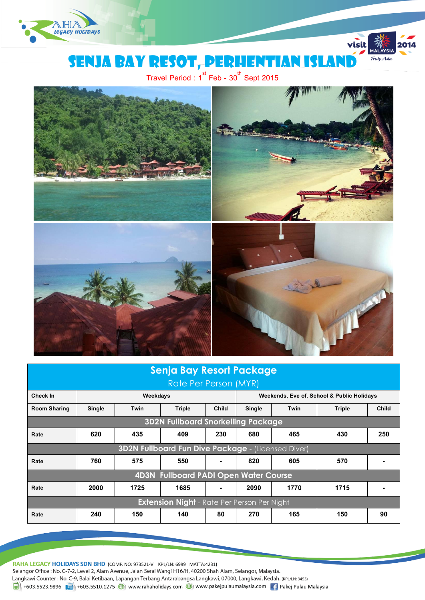

# Senja bay resot, perhentian Island

visit

Truly Asia

Travel Period :  $1^{\text{st}}$  Feb -  $30^{\text{th}}$  Sept 2015



| <b>Senja Bay Resort Package</b>                           |          |             |               |              |                                            |      |               |              |
|-----------------------------------------------------------|----------|-------------|---------------|--------------|--------------------------------------------|------|---------------|--------------|
| Rate Per Person (MYR)                                     |          |             |               |              |                                            |      |               |              |
| Check In                                                  | Weekdays |             |               |              | Weekends, Eve of, School & Public Holidays |      |               |              |
| <b>Room Sharing</b>                                       | Single   | <b>Twin</b> | <b>Triple</b> | <b>Child</b> | Single                                     | Twin | <b>Triple</b> | <b>Child</b> |
| <b>3D2N Fullboard Snorkelling Package</b>                 |          |             |               |              |                                            |      |               |              |
| Rate                                                      | 620      | 435         | 409           | 230          | 680                                        | 465  | 430           | 250          |
| <b>3D2N Fullboard Fun Dive Package - (Licensed Diver)</b> |          |             |               |              |                                            |      |               |              |
| Rate                                                      | 760      | 575         | 550           |              | 820                                        | 605  | 570           |              |
| <b>4D3N Fullboard PADI Open Water Course</b>              |          |             |               |              |                                            |      |               |              |
| Rate                                                      | 2000     | 1725        | 1685          |              | 2090                                       | 1770 | 1715          |              |
| <b>Extension Night</b> - Rate Per Person Per Night        |          |             |               |              |                                            |      |               |              |
| Rate                                                      | 240      | 150         | 140           | 80           | 270                                        | 165  | 150           | 90           |

RAHA LEGACY HOLIDAYS SDN BHD (COMP. NO: 973521-V KPL/LN: 6999 MATTA:4231) Selangor Office : No. C-7-2, Level 2, Alam Avenue, Jalan Serai Wangi H16/H, 40200 Shah Alam, Selangor, Malaysia. Langkawi Counter : No. C-9, Balai Ketibaan, Lapangan Terbang Antarabangsa Langkawi, 07000, Langkawi, Kedah. (KPL/LN: 3453)  $\frac{1}{21}$  +603.5523.9896  $\frac{1}{21}$  +603.5510.1275  $\bigoplus$  www.rahaholidays.com  $\bigoplus$  www.pakejpulaumalaysia.com  $\bigoplus$  Pakej Pulau Malaysia